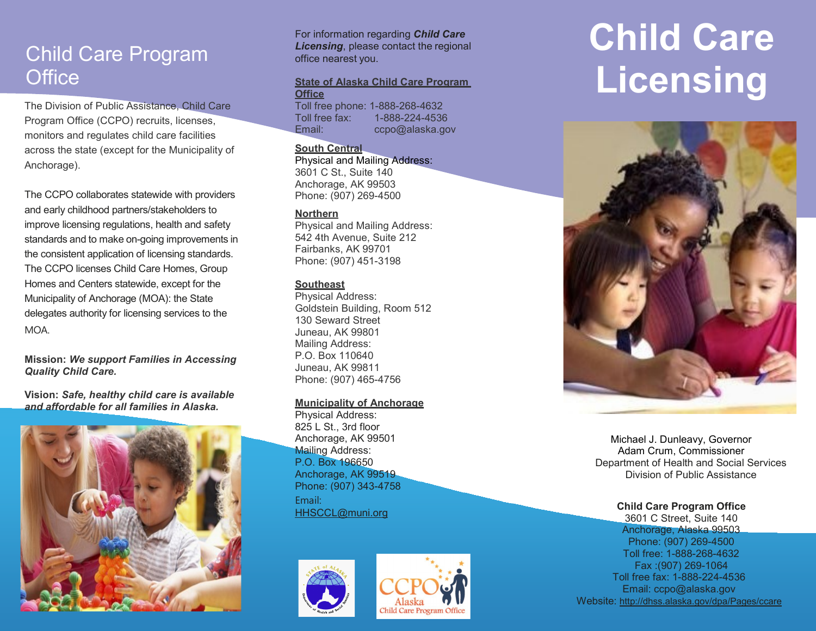## Child Care Program **Office**

The Division of Public Assistance, Child Care Program Office (CCPO) recruits, licenses, monitors and regulates child care facilities across the state (except for the Municipality of Anchorage).

The CCPO collaborates statewide with providers and early childhood partners/stakeholders to improve licensing regulations, health and safety standards and to make on-going improvements in the consistent application of licensing standards. The CCPO licenses Child Care Homes, Group Homes and Centers statewide, except for the Municipality of Anchorage (MOA): the State delegates authority for licensing services to the MOA.

Mission: We support Families in Accessing Quality Child Care.

Vision: Safe, healthy child care is available and affordable for all families in Alaska.



For information regarding **Child Care Licensing, please contact the regional** office nearest you.

### State of Alaska Child Care Program **Office**

Toll free phone: 1-888-268-4632 Toll free fax: 1-888-224-4536 Email: ccpo@alaska.gov

### South Central

Physical and Mailing Address: 3601 C St., Suite 140

Anchorage, AK 99503 Phone: (907) 269-4500

### **Northern**

Physical and Mailing Address: 542 4th Avenue, Suite 212 Fairbanks, AK 99701 Phone: (907) 451-3198

### **Southeast**

Physical Address: Goldstein Building, Room 512 130 Seward Street Juneau, AK 99801 Mailing Address: P.O. Box 110640 Juneau, AK 99811 Phone: (907) 465-4756

### Municipality of Anchorage

Physical Address: 825 L St., 3rd floor Anchorage, AK 99501 Mailing Address: P.O. Box 196650 Anchorage, AK 99519 Phone: (907) 343-4758 Email: HHSCCL@muni.org





# Child Care Licensing



Michael J. Dunleavy, Governor Adam Crum, Commissioner Department of Health and Social Services Division of Public Assistance

### Child Care Program Office

3601 C Street, Suite 140 Anchorage, Alaska 99503 Phone: (907) 269-4500 Toll free: 1-888-268-4632 Fax :(907) 269-1064 Toll free fax: 1-888-224-4536 Email: ccpo@alaska.gov Website: http://dhss.alaska.gov/dpa/Pages/ccare